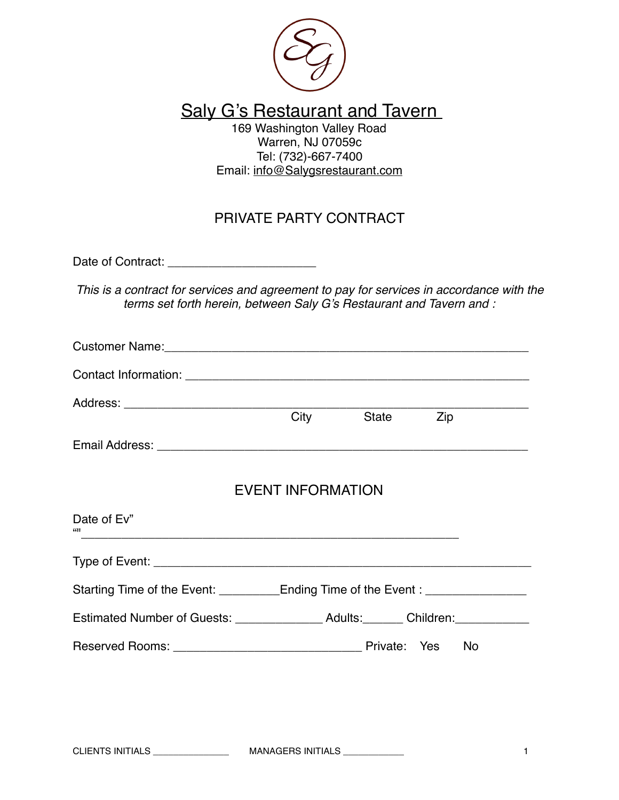

### Saly G's Restaurant and Tavern

169 Washington Valley Road Warren, NJ 07059c Tel: (732)-667-7400 Email: [info@Salygsrestaurant.com](mailto:info@Salygsrestaurant.com)

### PRIVATE PARTY CONTRACT

Date of Contract: \_\_\_\_\_\_\_\_\_\_\_\_\_\_\_\_\_\_\_\_\_\_

*This is a contract for services and agreement to pay for services in accordance with the terms set forth herein, between Saly G's Restaurant and Tavern and :*

|                                                                                     | <b>City</b>              | State Zip |  |
|-------------------------------------------------------------------------------------|--------------------------|-----------|--|
|                                                                                     |                          |           |  |
|                                                                                     | <b>EVENT INFORMATION</b> |           |  |
| Date of Ev"<br>661 L<br><u> 1989 - Johann Stoff, amerikansk politiker (d. 1989)</u> |                          |           |  |
|                                                                                     |                          |           |  |
| Starting Time of the Event: ___________Ending Time of the Event: _______________    |                          |           |  |
|                                                                                     |                          |           |  |
|                                                                                     |                          |           |  |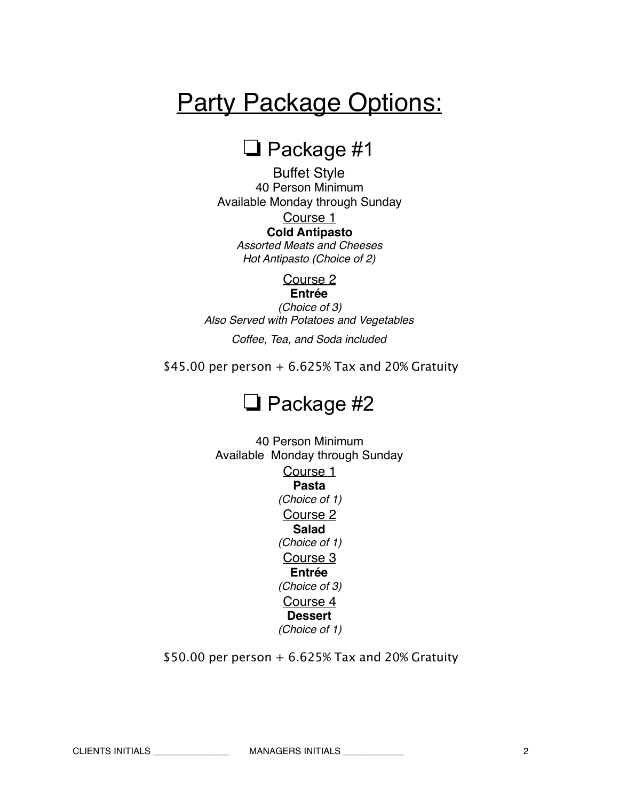# **Party Package Options:**

### $\Box$  Package #1

Buffet Style 40 Person Minimum Available Monday through Sunday Course 1 **Cold Antipasto** *Assorted Meats and Cheeses Hot Antipasto (Choice of 2)*

Course 2

**Entrée**

*(Choice of 3) Also Served with Potatoes and Vegetables* 

*Coffee, Tea, and Soda included*

\$45.00 per person  $+6.625\%$  Tax and 20% Gratuity

## $\Box$  Package #2

40 Person Minimum Available Monday through Sunday Course 1 **Pasta** *(Choice of 1)* Course 2 **Salad** *(Choice of 1)*  Course 3 **Entrée** *(Choice of 3)* Course 4 **Dessert** *(Choice of 1)*

 $$50.00$  per person + 6.625% Tax and 20% Gratuity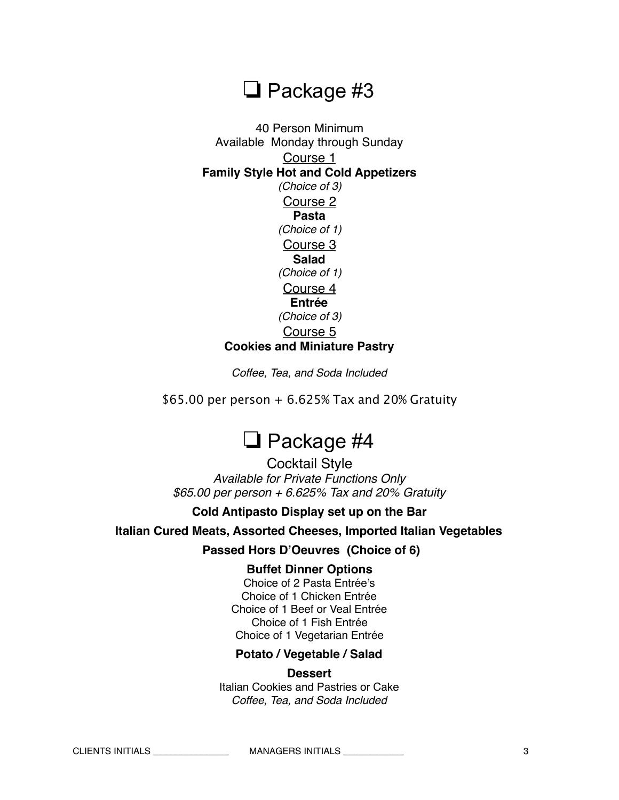# $\Box$  Package #3

40 Person Minimum Available Monday through Sunday Course 1 **Family Style Hot and Cold Appetizers**  *(Choice of 3)* Course 2 **Pasta** *(Choice of 1)*  Course 3 **Salad** *(Choice of 1)* Course 4 **Entrée** *(Choice of 3)* Course 5 **Cookies and Miniature Pastry** 

*Coffee, Tea, and Soda Included* 

 $$65.00$  per person  $+ 6.625\%$  Tax and 20% Gratuity

# $\Box$  Package #4

Cocktail Style *Available for Private Functions Only \$65.00 per person + 6.625% Tax and 20% Gratuity* 

#### **Cold Antipasto Display set up on the Bar**

**Italian Cured Meats, Assorted Cheeses, Imported Italian Vegetables** 

 **Passed Hors D'Oeuvres (Choice of 6)**

#### **Buffet Dinner Options**

Choice of 2 Pasta Entrée's Choice of 1 Chicken Entrée Choice of 1 Beef or Veal Entrée Choice of 1 Fish Entrée Choice of 1 Vegetarian Entrée

#### **Potato / Vegetable / Salad**

#### **Dessert**

Italian Cookies and Pastries or Cake *Coffee, Tea, and Soda Included* 

CLIENTS INITIALS \_\_\_\_\_\_\_\_\_\_\_\_\_\_\_ MANAGERS INITIALS \_\_\_\_\_\_\_\_\_\_\_\_ 3